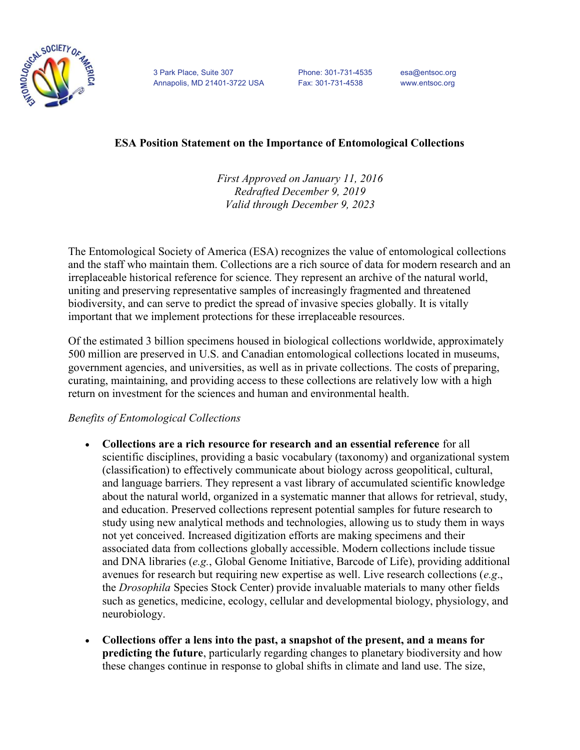

3 Park Place, Suite 307 Phone: 301-731-4535 esa@entsoc.org Annapolis, MD 21401-3722 USA Fax: 301-731-4538 www.entsoc.org

## ESA Position Statement on the Importance of Entomological Collections

First Approved on January 11, 2016 Redrafted December 9, 2019 Valid through December 9, 2023

The Entomological Society of America (ESA) recognizes the value of entomological collections and the staff who maintain them. Collections are a rich source of data for modern research and an irreplaceable historical reference for science. They represent an archive of the natural world, uniting and preserving representative samples of increasingly fragmented and threatened biodiversity, and can serve to predict the spread of invasive species globally. It is vitally important that we implement protections for these irreplaceable resources.

Of the estimated 3 billion specimens housed in biological collections worldwide, approximately 500 million are preserved in U.S. and Canadian entomological collections located in museums, government agencies, and universities, as well as in private collections. The costs of preparing, curating, maintaining, and providing access to these collections are relatively low with a high return on investment for the sciences and human and environmental health.

## Benefits of Entomological Collections

- Collections are a rich resource for research and an essential reference for all scientific disciplines, providing a basic vocabulary (taxonomy) and organizational system (classification) to effectively communicate about biology across geopolitical, cultural, and language barriers. They represent a vast library of accumulated scientific knowledge about the natural world, organized in a systematic manner that allows for retrieval, study, and education. Preserved collections represent potential samples for future research to study using new analytical methods and technologies, allowing us to study them in ways not yet conceived. Increased digitization efforts are making specimens and their associated data from collections globally accessible. Modern collections include tissue and DNA libraries (e.g., Global Genome Initiative, Barcode of Life), providing additional avenues for research but requiring new expertise as well. Live research collections (e.g., the Drosophila Species Stock Center) provide invaluable materials to many other fields such as genetics, medicine, ecology, cellular and developmental biology, physiology, and neurobiology.
- Collections offer a lens into the past, a snapshot of the present, and a means for predicting the future, particularly regarding changes to planetary biodiversity and how these changes continue in response to global shifts in climate and land use. The size,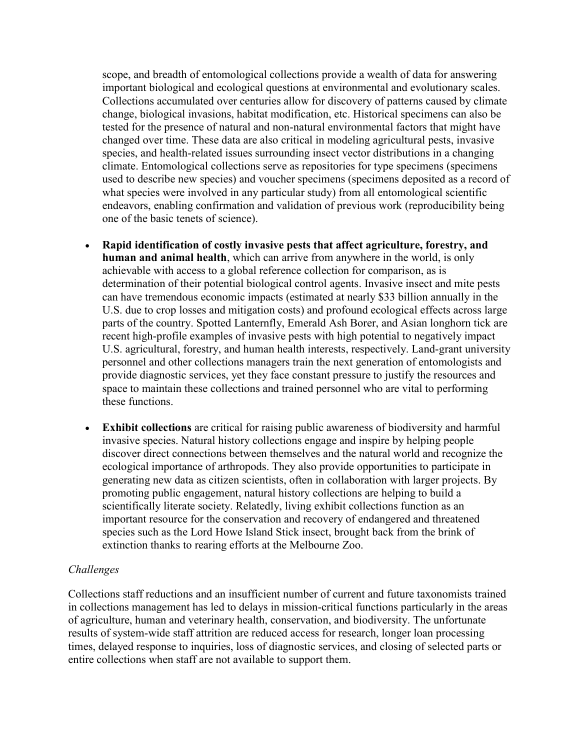scope, and breadth of entomological collections provide a wealth of data for answering important biological and ecological questions at environmental and evolutionary scales. Collections accumulated over centuries allow for discovery of patterns caused by climate change, biological invasions, habitat modification, etc. Historical specimens can also be tested for the presence of natural and non-natural environmental factors that might have changed over time. These data are also critical in modeling agricultural pests, invasive species, and health-related issues surrounding insect vector distributions in a changing climate. Entomological collections serve as repositories for type specimens (specimens used to describe new species) and voucher specimens (specimens deposited as a record of what species were involved in any particular study) from all entomological scientific endeavors, enabling confirmation and validation of previous work (reproducibility being one of the basic tenets of science).

- Rapid identification of costly invasive pests that affect agriculture, forestry, and human and animal health, which can arrive from anywhere in the world, is only achievable with access to a global reference collection for comparison, as is determination of their potential biological control agents. Invasive insect and mite pests can have tremendous economic impacts (estimated at nearly \$33 billion annually in the U.S. due to crop losses and mitigation costs) and profound ecological effects across large parts of the country. Spotted Lanternfly, Emerald Ash Borer, and Asian longhorn tick are recent high-profile examples of invasive pests with high potential to negatively impact U.S. agricultural, forestry, and human health interests, respectively. Land-grant university personnel and other collections managers train the next generation of entomologists and provide diagnostic services, yet they face constant pressure to justify the resources and space to maintain these collections and trained personnel who are vital to performing these functions.
- Exhibit collections are critical for raising public awareness of biodiversity and harmful invasive species. Natural history collections engage and inspire by helping people discover direct connections between themselves and the natural world and recognize the ecological importance of arthropods. They also provide opportunities to participate in generating new data as citizen scientists, often in collaboration with larger projects. By promoting public engagement, natural history collections are helping to build a scientifically literate society. Relatedly, living exhibit collections function as an important resource for the conservation and recovery of endangered and threatened species such as the Lord Howe Island Stick insect, brought back from the brink of extinction thanks to rearing efforts at the Melbourne Zoo.

## Challenges

Collections staff reductions and an insufficient number of current and future taxonomists trained in collections management has led to delays in mission-critical functions particularly in the areas of agriculture, human and veterinary health, conservation, and biodiversity. The unfortunate results of system-wide staff attrition are reduced access for research, longer loan processing times, delayed response to inquiries, loss of diagnostic services, and closing of selected parts or entire collections when staff are not available to support them.